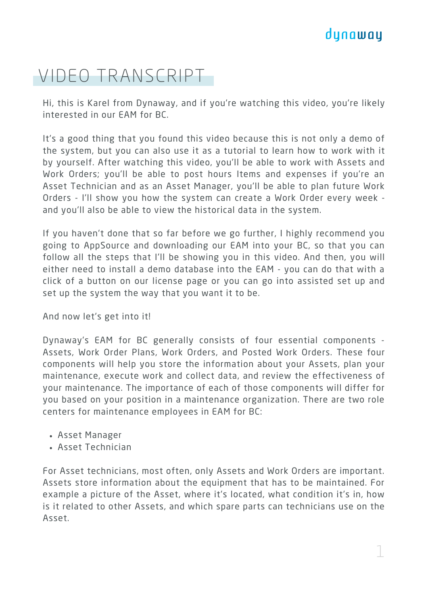## dynaway

## VIDEO TRANSCRIPT

Hi, this is Karel from Dynaway, and if you're watching this video, you're likely interested in our EAM for BC.

It's a good thing that you found this video because this is not only a demo of the system, but you can also use it as a tutorial to learn how to work with it by yourself. After watching this video, you'll be able to work with Assets and Work Orders; you'll be able to post hours Items and expenses if you're an Asset Technician and as an Asset Manager, you'll be able to plan future Work Orders - I'll show you how the system can create a Work Order every week and you'll also be able to view the historical data in the system.

If you haven't done that so far before we go further, I highly recommend you going to AppSource and downloading our EAM into your BC, so that you can follow all the steps that I'll be showing you in this video. And then, you will either need to install a demo database into the EAM - you can do that with a click of a button on our license page or you can go into assisted set up and set up the system the way that you want it to be.

And now let's get into it!

Dynaway's EAM for BC generally consists of four essential components - Assets, Work Order Plans, Work Orders, and Posted Work Orders. These four components will help you store the information about your Assets, plan your maintenance, execute work and collect data, and review the effectiveness of your maintenance. The importance of each of those components will differ for you based on your position in a maintenance organization. There are two role centers for maintenance employees in EAM for BC:

- Asset Manager
- Asset Technician

For Asset technicians, most often, only Assets and Work Orders are important. Assets store information about the equipment that has to be maintained. For example a picture of the Asset, where it's located, what condition it's in, how is it related to other Assets, and which spare parts can technicians use on the Asset.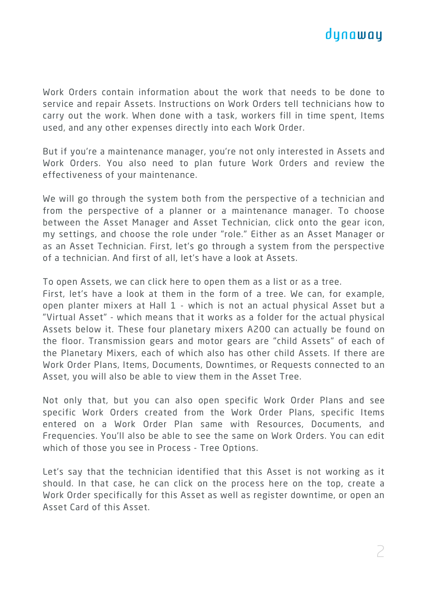

Work Orders contain information about the work that needs to be done to service and repair Assets. Instructions on Work Orders tell technicians how to carry out the work. When done with a task, workers fill in time spent, Items used, and any other expenses directly into each Work Order.

But if you're a maintenance manager, you're not only interested in Assets and Work Orders. You also need to plan future Work Orders and review the effectiveness of your maintenance.

We will go through the system both from the perspective of a technician and from the perspective of a planner or a maintenance manager. To choose between the Asset Manager and Asset Technician, click onto the gear icon, my settings, and choose the role under "role." Either as an Asset Manager or as an Asset Technician. First, let's go through a system from the perspective of a technician. And first of all, let's have a look at Assets.

To open Assets, we can click here to open them as a list or as a tree.

First, let's have a look at them in the form of a tree. We can, for example, open planter mixers at Hall 1 - which is not an actual physical Asset but a "Virtual Asset" - which means that it works as a folder for the actual physical Assets below it. These four planetary mixers A200 can actually be found on the floor. Transmission gears and motor gears are "child Assets" of each of the Planetary Mixers, each of which also has other child Assets. If there are Work Order Plans, Items, Documents, Downtimes, or Requests connected to an Asset, you will also be able to view them in the Asset Tree.

Not only that, but you can also open specific Work Order Plans and see specific Work Orders created from the Work Order Plans, specific Items entered on a Work Order Plan same with Resources, Documents, and Frequencies. You'll also be able to see the same on Work Orders. You can edit which of those you see in Process - Tree Options.

Let's say that the technician identified that this Asset is not working as it should. In that case, he can click on the process here on the top, create a Work Order specifically for this Asset as well as register downtime, or open an Asset Card of this Asset.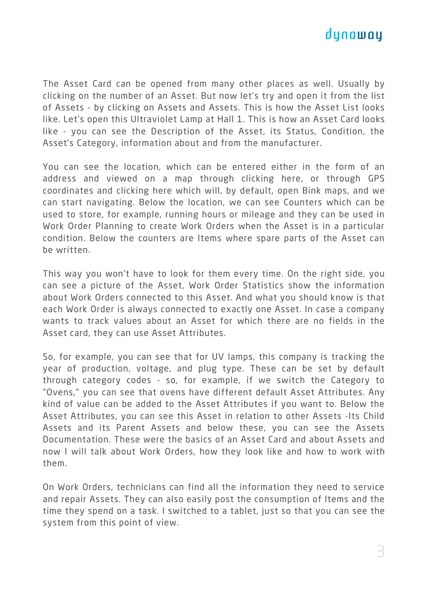## dunawau

The Asset Card can be opened from many other places as well. Usually by clicking on the number of an Asset. But now let's try and open it from the list of Assets - by clicking on Assets and Assets. This is how the Asset List looks like. Let's open this Ultraviolet Lamp at Hall 1. This is how an Asset Card looks like - you can see the Description of the Asset, its Status, Condition, the Asset's Category, information about and from the manufacturer.

You can see the location, which can be entered either in the form of an address and viewed on a map through clicking here, or through GPS coordinates and clicking here which will, by default, open Bink maps, and we can start navigating. Below the location, we can see Counters which can be used to store, for example, running hours or mileage and they can be used in Work Order Planning to create Work Orders when the Asset is in a particular condition. Below the counters are Items where spare parts of the Asset can be written.

This way you won't have to look for them every time. On the right side, you can see a picture of the Asset, Work Order Statistics show the information about Work Orders connected to this Asset. And what you should know is that each Work Order is always connected to exactly one Asset. In case a company wants to track values about an Asset for which there are no fields in the Asset card, they can use Asset Attributes.

So, for example, you can see that for UV lamps, this company is tracking the year of production, voltage, and plug type. These can be set by default through category codes - so, for example, if we switch the Category to "Ovens," you can see that ovens have different default Asset Attributes. Any kind of value can be added to the Asset Attributes if you want to. Below the Asset Attributes, you can see this Asset in relation to other Assets -Its Child Assets and its Parent Assets and below these, you can see the Assets Documentation. These were the basics of an Asset Card and about Assets and now I will talk about Work Orders, how they look like and how to work with them.

On Work Orders, technicians can find all the information they need to service and repair Assets. They can also easily post the consumption of Items and the time they spend on a task. I switched to a tablet, just so that you can see the system from this point of view.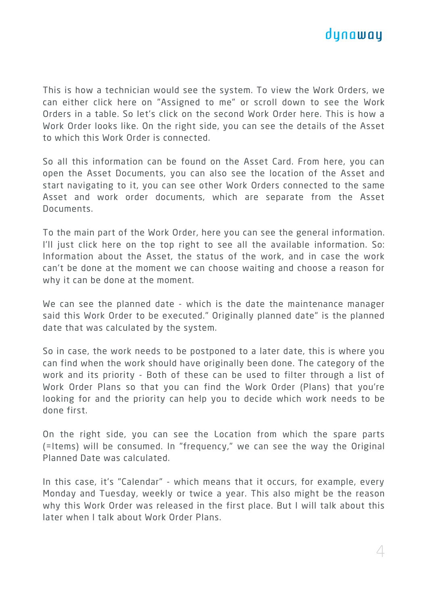

This is how a technician would see the system. To view the Work Orders, we can either click here on "Assigned to me" or scroll down to see the Work Orders in a table. So let's click on the second Work Order here. This is how a Work Order looks like. On the right side, you can see the details of the Asset to which this Work Order is connected.

So all this information can be found on the Asset Card. From here, you can open the Asset Documents, you can also see the location of the Asset and start navigating to it, you can see other Work Orders connected to the same Asset and work order documents, which are separate from the Asset Documents.

To the main part of the Work Order, here you can see the general information. I'll just click here on the top right to see all the available information. So: Information about the Asset, the status of the work, and in case the work can't be done at the moment we can choose waiting and choose a reason for why it can be done at the moment.

We can see the planned date - which is the date the maintenance manager said this Work Order to be executed." Originally planned date" is the planned date that was calculated by the system.

So in case, the work needs to be postponed to a later date, this is where you can find when the work should have originally been done. The category of the work and its priority - Both of these can be used to filter through a list of Work Order Plans so that you can find the Work Order (Plans) that you're looking for and the priority can help you to decide which work needs to be done first.

On the right side, you can see the Location from which the spare parts (=Items) will be consumed. In "frequency," we can see the way the Original Planned Date was calculated.

In this case, it's "Calendar" - which means that it occurs, for example, every Monday and Tuesday, weekly or twice a year. This also might be the reason why this Work Order was released in the first place. But I will talk about this later when I talk about Work Order Plans.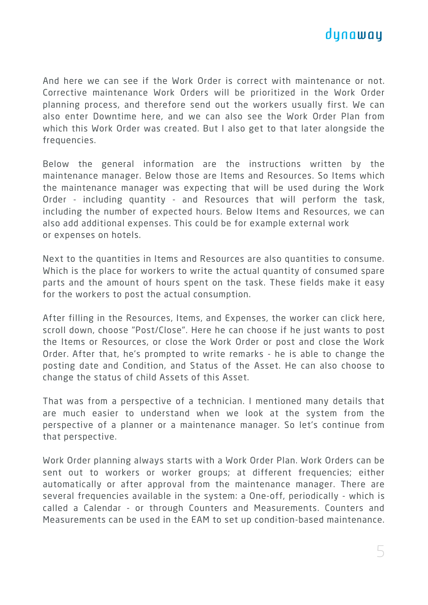

And here we can see if the Work Order is correct with maintenance or not. Corrective maintenance Work Orders will be prioritized in the Work Order planning process, and therefore send out the workers usually first. We can also enter Downtime here, and we can also see the Work Order Plan from which this Work Order was created. But I also get to that later alongside the frequencies.

Below the general information are the instructions written by the maintenance manager. Below those are Items and Resources. So Items which the maintenance manager was expecting that will be used during the Work Order - including quantity - and Resources that will perform the task, including the number of expected hours. Below Items and Resources, we can also add additional expenses. This could be for example external work or expenses on hotels.

Next to the quantities in Items and Resources are also quantities to consume. Which is the place for workers to write the actual quantity of consumed spare parts and the amount of hours spent on the task. These fields make it easy for the workers to post the actual consumption.

After filling in the Resources, Items, and Expenses, the worker can click here, scroll down, choose "Post/Close". Here he can choose if he just wants to post the Items or Resources, or close the Work Order or post and close the Work Order. After that, he's prompted to write remarks - he is able to change the posting date and Condition, and Status of the Asset. He can also choose to change the status of child Assets of this Asset.

That was from a perspective of a technician. I mentioned many details that are much easier to understand when we look at the system from the perspective of a planner or a maintenance manager. So let's continue from that perspective.

Work Order planning always starts with a Work Order Plan. Work Orders can be sent out to workers or worker groups; at different frequencies; either automatically or after approval from the maintenance manager. There are several frequencies available in the system: a One-off, periodically - which is called a Calendar - or through Counters and Measurements. Counters and Measurements can be used in the EAM to set up condition-based maintenance.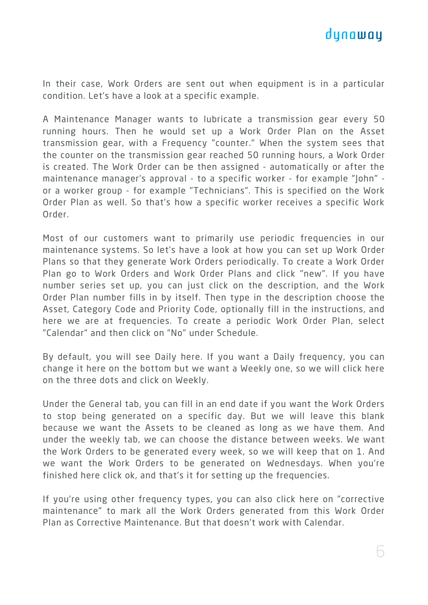

In their case, Work Orders are sent out when equipment is in a particular condition. Let's have a look at a specific example.

A Maintenance Manager wants to lubricate a transmission gear every 50 running hours. Then he would set up a Work Order Plan on the Asset transmission gear, with a Frequency "counter." When the system sees that the counter on the transmission gear reached 50 running hours, a Work Order is created. The Work Order can be then assigned - automatically or after the maintenance manager's approval - to a specific worker - for example "John" or a worker group - for example "Technicians". This is specified on the Work Order Plan as well. So that's how a specific worker receives a specific Work Order.

Most of our customers want to primarily use periodic frequencies in our maintenance systems. So let's have a look at how you can set up Work Order Plans so that they generate Work Orders periodically. To create a Work Order Plan go to Work Orders and Work Order Plans and click "new". If you have number series set up, you can just click on the description, and the Work Order Plan number fills in by itself. Then type in the description choose the Asset, Category Code and Priority Code, optionally fill in the instructions, and here we are at frequencies. To create a periodic Work Order Plan, select "Calendar" and then click on "No" under Schedule.

By default, you will see Daily here. If you want a Daily frequency, you can change it here on the bottom but we want a Weekly one, so we will click here on the three dots and click on Weekly.

Under the General tab, you can fill in an end date if you want the Work Orders to stop being generated on a specific day. But we will leave this blank because we want the Assets to be cleaned as long as we have them. And under the weekly tab, we can choose the distance between weeks. We want the Work Orders to be generated every week, so we will keep that on 1. And we want the Work Orders to be generated on Wednesdays. When you're finished here click ok, and that's it for setting up the frequencies.

If you're using other frequency types, you can also click here on "corrective maintenance" to mark all the Work Orders generated from this Work Order Plan as Corrective Maintenance. But that doesn't work with Calendar.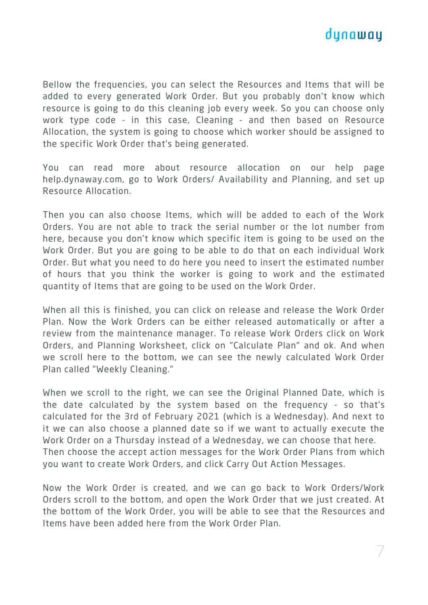

Bellow the frequencies, you can select the Resources and Items that will be added to every generated Work Order. But you probably don't know which resource is going to do this cleaning job every week. So you can choose only work type code - in this case, Cleaning - and then based on Resource Allocation, the system is going to choose which worker should be assigned to the specific Work Order that's being generated.

You can read more about resource allocation on our help page [help.dynaway.com,](http://help.dynaway.com/) go to Work Orders/ Availability and Planning, and set up Resource Allocation.

Then you can also choose Items, which will be added to each of the Work Orders. You are not able to track the serial number or the lot number from here, because you don't know which specific item is going to be used on the Work Order. But you are going to be able to do that on each individual Work Order. But what you need to do here you need to insert the estimated number of hours that you think the worker is going to work and the estimated quantity of Items that are going to be used on the Work Order.

When all this is finished, you can click on release and release the Work Order Plan. Now the Work Orders can be either released automatically or after a review from the maintenance manager. To release Work Orders click on Work Orders, and Planning Worksheet, click on "Calculate Plan" and ok. And when we scroll here to the bottom, we can see the newly calculated Work Order Plan called "Weekly Cleaning."

When we scroll to the right, we can see the Original Planned Date, which is the date calculated by the system based on the frequency - so that's calculated for the 3rd of February 2021 (which is a Wednesday). And next to it we can also choose a planned date so if we want to actually execute the Work Order on a Thursday instead of a Wednesday, we can choose that here. Then choose the accept action messages for the Work Order Plans from which you want to create Work Orders, and click Carry Out Action Messages.

Now the Work Order is created, and we can go back to Work Orders/Work Orders scroll to the bottom, and open the Work Order that we just created. At the bottom of the Work Order, you will be able to see that the Resources and Items have been added here from the Work Order Plan.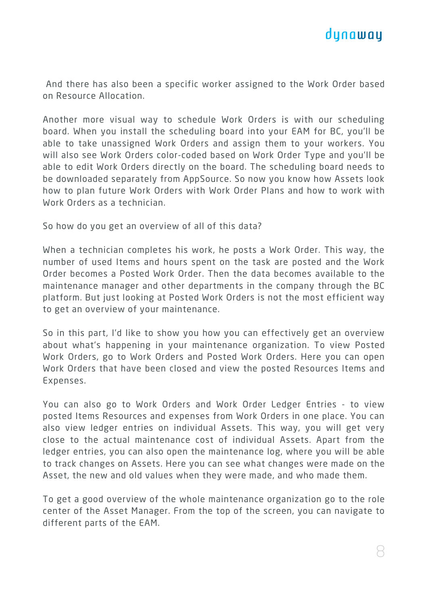

And there has also been a specific worker assigned to the Work Order based on Resource Allocation.

Another more visual way to schedule Work Orders is with our scheduling board. When you install the scheduling board into your EAM for BC, you'll be able to take unassigned Work Orders and assign them to your workers. You will also see Work Orders color-coded based on Work Order Type and you'll be able to edit Work Orders directly on the board. The scheduling board needs to be downloaded separately from AppSource. So now you know how Assets look how to plan future Work Orders with Work Order Plans and how to work with Work Orders as a technician.

So how do you get an overview of all of this data?

When a technician completes his work, he posts a Work Order. This way, the number of used Items and hours spent on the task are posted and the Work Order becomes a Posted Work Order. Then the data becomes available to the maintenance manager and other departments in the company through the BC platform. But just looking at Posted Work Orders is not the most efficient way to get an overview of your maintenance.

So in this part, I'd like to show you how you can effectively get an overview about what's happening in your maintenance organization. To view Posted Work Orders, go to Work Orders and Posted Work Orders. Here you can open Work Orders that have been closed and view the posted Resources Items and Expenses.

You can also go to Work Orders and Work Order Ledger Entries - to view posted Items Resources and expenses from Work Orders in one place. You can also view ledger entries on individual Assets. This way, you will get very close to the actual maintenance cost of individual Assets. Apart from the ledger entries, you can also open the maintenance log, where you will be able to track changes on Assets. Here you can see what changes were made on the Asset, the new and old values when they were made, and who made them.

To get a good overview of the whole maintenance organization go to the role center of the Asset Manager. From the top of the screen, you can navigate to different parts of the EAM.